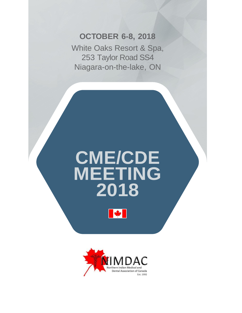## **OCTOBER 6-8, 2018**

White Oaks Resort & Spa, 253 Taylor Road SS4 Niagara-on-the-lake, ON

# **CME/CDE MEETING 2018**



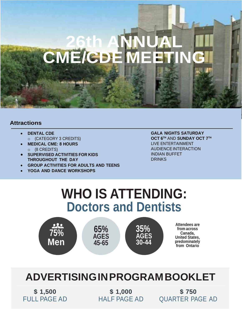## **OCTOBER 6-8, 2018 26th ANNUAL CME/CDE MEETING**

White Oaks Resort & Spa, 253 Taylor Road Street, 253 Taylor Road Street, 253 Taylor Road Street, 253 Taylor Road Niagara-on-the-lake, ON

## **Attractions**

- **DENTAL CDE** o (CATEGORY 3 CREDITS)
- **MEDICAL CME: 8 HOURS** o (8 CREDITS)
- **SUPERVISED ACTIVITIES FOR KIDS THROUGHOUT THE DAY**
- **GROUP ACTIVITIES FOR ADULTS AND TEENS**
- **YOGA AND DANCE WORKSHOPS**

**GALA NIGHTS SATURDAY OCT 6 TH** AND **SUNDAY OCT 7 TH** LIVE ENTERTAINMENT AUDIENCEINTERACTION INDIAN BUFFET **DRINKS** 

## **WHO IS ATTENDING: Doctors and Dentists**



## **ADVERTISINGINPROGRAMBOOKLET**

**\$ 1,500** FULL PAGE AD

**\$ 1,000** HALF PAGE AD

**\$ 750** QUARTER PAGE AD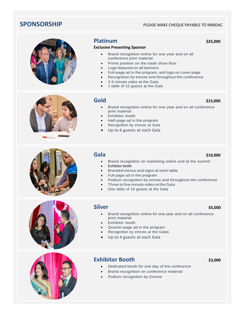## **SPONSORSHIP PLEASE MAKE CHEQUE PAYABLE TO NIMDAC**



### **Platinum** \$25,000

### **Exclusive Presenting Sponsor**

- Brand recognition online for one year and on all conference print material
- Prime position on the trade show floor
- Logo featured on all banners
- Full-page ad in the program, and logo on cover page
- Recognition by emcee and throughout the conference
- 3-5 minute video at the Gala
- 1 table of 10 guests at the Gala

## **Gold** \$15,000

- Brand recognition online for one year and on all conference print material
- Exhibitor booth
- Half-page ad in the program
- Recognition by emcee at Gala
- Up to 6 guests at each Gala

## **Gala** \$10,000

- Brand recognition on marketing online and at the summit
- Exhibitor booth
- Branded menus and signs at each table
- Full page ad in the program
- Podium recognition by emcee and throughout the conference
- Three to five minute video at the Gala
- One table of 10 guests at the Gala

## **Silver \$5,000**

- Brand recognition online for one year and on all conference print material
- Exhibitor booth
- Quarter-page ad in the program
- Recognition by emcee at the Galas
- Up to 4 guests at each Gala



## **Exhibitor Booth** \$3,000

- Dedicated booth for one day of the conference
	- Brand recognition on conference material
- Podium recognition by Emcee